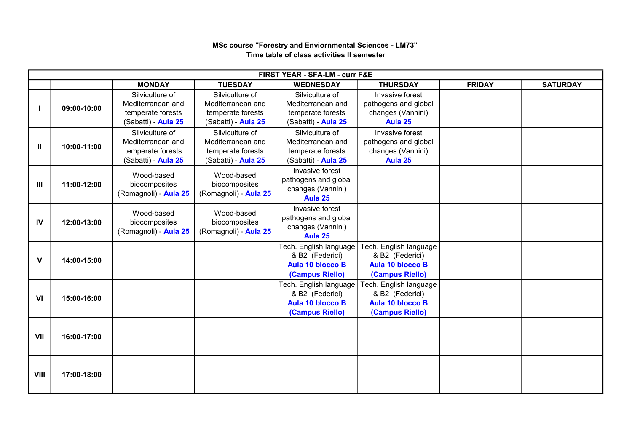## MONDAY | TUESDAY | WEDNESDAY | THURSDAY | FRIDAY | SATURDAY I 09:00-10:00 Silviculture of Mediterranean and temperate forests (Sabatti) - Aula 25 Silviculture of Mediterranean and temperate forests (Sabatti) - Aula 25 Silviculture of Mediterranean and temperate forests (Sabatti) - Aula 25 Invasive forest pathogens and global changes (Vannini) Aula 25  $II \mid 10:00-11:00$ Silviculture of Mediterranean and temperate forests (Sabatti) - Aula 25 Silviculture of Mediterranean and temperate forests (Sabatti) - Aula 25 Silviculture of Mediterranean and temperate forests (Sabatti) - Aula 25 Invasive forest pathogens and global changes (Vannini) Aula 25  $III$  11:00-12:00 Wood-based biocomposites (Romagnoli) - Aula 25 Wood-based biocomposites (Romagnoli) - Aula 25 Invasive forest pathogens and global changes (Vannini) Aula 25 IV 12:00-13:00 Wood-based biocomposites (Romagnoli) - Aula 25 Wood-based biocomposites (Romagnoli) - Aula 25 Invasive forest pathogens and global changes (Vannini) Aula 25  $V$  14:00-15:00 Tech. English language & B2 (Federici) Aula 10 blocco B (Campus Riello) Tech. English language & B2 (Federici) Aula 10 blocco B (Campus Riello) VI 15:00-16:00 Tech. English language & B2 (Federici) Aula 10 blocco B (Campus Riello) Tech. English language & B2 (Federici) Aula 10 blocco B (Campus Riello) VII 16:00-17:00 VIII 17:00-18:00 FIRST YEAR - SFA-LM - curr F&E

## MSc course "Forestry and Enviornmental Sciences - LM73" Time table of class activities II semester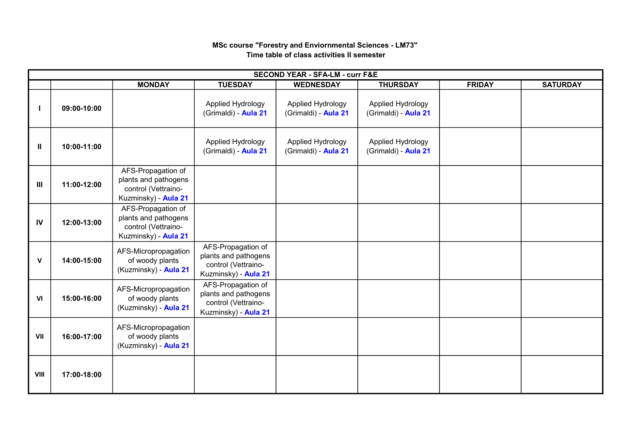## MSc course "Forestry and Enviornmental Sciences - LM73" Time table of class activities II semester

| <b>SECOND YEAR - SFA-LM - curr F&amp;E</b> |             |                                                                                           |                                                                                           |                                           |                                           |               |                 |  |  |  |  |
|--------------------------------------------|-------------|-------------------------------------------------------------------------------------------|-------------------------------------------------------------------------------------------|-------------------------------------------|-------------------------------------------|---------------|-----------------|--|--|--|--|
|                                            |             | <b>MONDAY</b>                                                                             | <b>TUESDAY</b>                                                                            | <b>WEDNESDAY</b>                          | <b>THURSDAY</b>                           | <b>FRIDAY</b> | <b>SATURDAY</b> |  |  |  |  |
|                                            | 09:00-10:00 |                                                                                           | Applied Hydrology<br>(Grimaldi) - Aula 21                                                 | Applied Hydrology<br>(Grimaldi) - Aula 21 | Applied Hydrology<br>(Grimaldi) - Aula 21 |               |                 |  |  |  |  |
| Ш                                          | 10:00-11:00 |                                                                                           | Applied Hydrology<br>(Grimaldi) - Aula 21                                                 | Applied Hydrology<br>(Grimaldi) - Aula 21 | Applied Hydrology<br>(Grimaldi) - Aula 21 |               |                 |  |  |  |  |
| Ш                                          | 11:00-12:00 | AFS-Propagation of<br>plants and pathogens<br>control (Vettraino-<br>Kuzminsky) - Aula 21 |                                                                                           |                                           |                                           |               |                 |  |  |  |  |
| IV                                         | 12:00-13:00 | AFS-Propagation of<br>plants and pathogens<br>control (Vettraino-<br>Kuzminsky) - Aula 21 |                                                                                           |                                           |                                           |               |                 |  |  |  |  |
| V                                          | 14:00-15:00 | AFS-Micropropagation<br>of woody plants<br>(Kuzminsky) - Aula 21                          | AFS-Propagation of<br>plants and pathogens<br>control (Vettraino-<br>Kuzminsky) - Aula 21 |                                           |                                           |               |                 |  |  |  |  |
| VI                                         | 15:00-16:00 | AFS-Micropropagation<br>of woody plants<br>(Kuzminsky) - Aula 21                          | AFS-Propagation of<br>plants and pathogens<br>control (Vettraino-<br>Kuzminsky) - Aula 21 |                                           |                                           |               |                 |  |  |  |  |
| VII                                        | 16:00-17:00 | AFS-Micropropagation<br>of woody plants<br>(Kuzminsky) - Aula 21                          |                                                                                           |                                           |                                           |               |                 |  |  |  |  |
| VIII                                       | 17:00-18:00 |                                                                                           |                                                                                           |                                           |                                           |               |                 |  |  |  |  |